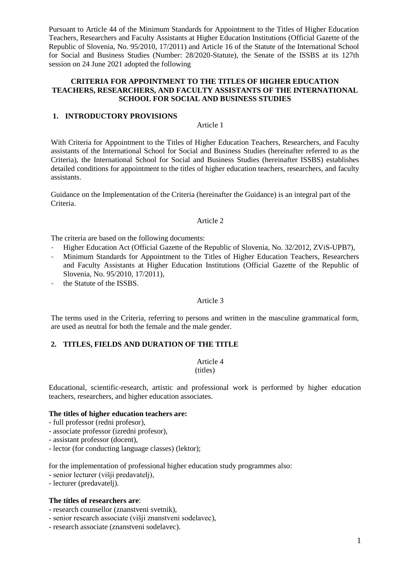Pursuant to Article 44 of the Minimum Standards for Appointment to the Titles of Higher Education Teachers, Researchers and Faculty Assistants at Higher Education Institutions (Official Gazette of the Republic of Slovenia, No. 95/2010, 17/2011) and Article 16 of the Statute of the International School for Social and Business Studies (Number: 28/2020-Statute), the Senate of the ISSBS at its 127th session on 24 June 2021 adopted the following

## **CRITERIA FOR APPOINTMENT TO THE TITLES OF HIGHER EDUCATION TEACHERS, RESEARCHERS, AND FACULTY ASSISTANTS OF THE INTERNATIONAL SCHOOL FOR SOCIAL AND BUSINESS STUDIES**

### **1. INTRODUCTORY PROVISIONS**

Article 1

With Criteria for Appointment to the Titles of Higher Education Teachers, Researchers, and Faculty assistants of the International School for Social and Business Studies (hereinafter referred to as the Criteria), the International School for Social and Business Studies (hereinafter ISSBS) establishes detailed conditions for appointment to the titles of higher education teachers, researchers, and faculty assistants.

Guidance on the Implementation of the Criteria (hereinafter the Guidance) is an integral part of the Criteria.

#### Article 2

The criteria are based on the following documents:

- Higher Education Act (Official Gazette of the Republic of Slovenia, No. 32/2012, ZViS-UPB7),
- Minimum Standards for Appointment to the Titles of Higher Education Teachers, Researchers and Faculty Assistants at Higher Education Institutions (Official Gazette of the Republic of Slovenia, No. 95/2010, 17/2011),
- the Statute of the ISSBS.

### Article 3

The terms used in the Criteria, referring to persons and written in the masculine grammatical form, are used as neutral for both the female and the male gender.

### **2. TITLES, FIELDS AND DURATION OF THE TITLE**

Article 4

(titles)

Educational, scientific-research, artistic and professional work is performed by higher education teachers, researchers, and higher education associates.

### **The titles of higher education teachers are:**

- full professor (redni profesor),
- associate professor (izredni profesor),
- assistant professor (docent),
- lector (for conducting language classes) (lektor);

for the implementation of professional higher education study programmes also:

- senior lecturer (višji predavatelj),
- lecturer (predavatelj).

### **The titles of researchers are**:

- research counsellor (znanstveni svetnik),
- senior research associate (višji znanstveni sodelavec),
- research associate (znanstveni sodelavec).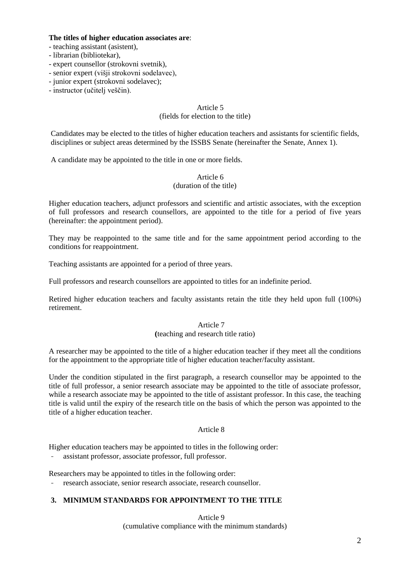### **The titles of higher education associates are**:

- teaching assistant (asistent),
- librarian (bibliotekar),
- expert counsellor (strokovni svetnik),
- senior expert (višji strokovni sodelavec),
- junior expert (strokovni sodelavec);
- instructor (učitelj veščin).

## Article 5 (fields for election to the title)

Candidates may be elected to the titles of higher education teachers and assistants for scientific fields, disciplines or subject areas determined by the ISSBS Senate (hereinafter the Senate, Annex 1).

A candidate may be appointed to the title in one or more fields.

## Article 6 (duration of the title)

Higher education teachers, adjunct professors and scientific and artistic associates, with the exception of full professors and research counsellors, are appointed to the title for a period of five years (hereinafter: the appointment period).

They may be reappointed to the same title and for the same appointment period according to the conditions for reappointment.

Teaching assistants are appointed for a period of three years.

Full professors and research counsellors are appointed to titles for an indefinite period.

Retired higher education teachers and faculty assistants retain the title they held upon full (100%) retirement.

# Article 7 **(**teaching and research title ratio)

A researcher may be appointed to the title of a higher education teacher if they meet all the conditions for the appointment to the appropriate title of higher education teacher/faculty assistant.

Under the condition stipulated in the first paragraph, a research counsellor may be appointed to the title of full professor, a senior research associate may be appointed to the title of associate professor, while a research associate may be appointed to the title of assistant professor. In this case, the teaching title is valid until the expiry of the research title on the basis of which the person was appointed to the title of a higher education teacher.

# Article 8

Higher education teachers may be appointed to titles in the following order:

- assistant professor, associate professor, full professor.

Researchers may be appointed to titles in the following order:

research associate, senior research associate, research counsellor.

# **3. MINIMUM STANDARDS FOR APPOINTMENT TO THE TITLE**

Article 9 (cumulative compliance with the minimum standards)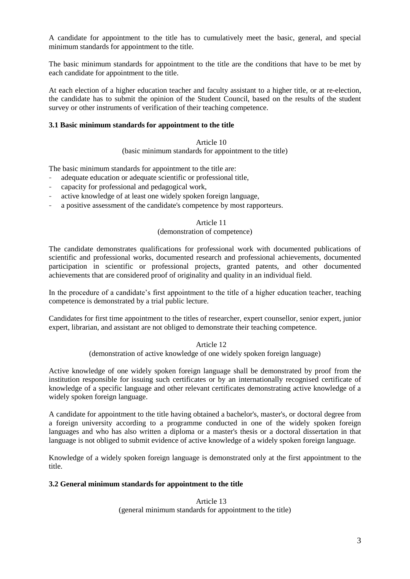A candidate for appointment to the title has to cumulatively meet the basic, general, and special minimum standards for appointment to the title.

The basic minimum standards for appointment to the title are the conditions that have to be met by each candidate for appointment to the title.

At each election of a higher education teacher and faculty assistant to a higher title, or at re-election, the candidate has to submit the opinion of the Student Council, based on the results of the student survey or other instruments of verification of their teaching competence.

## **3.1 Basic minimum standards for appointment to the title**

## Article 10 (basic minimum standards for appointment to the title)

The basic minimum standards for appointment to the title are:

- adequate education or adequate scientific or professional title,
- capacity for professional and pedagogical work,
- active knowledge of at least one widely spoken foreign language,
- a positive assessment of the candidate's competence by most rapporteurs.

## Article 11

## (demonstration of competence)

The candidate demonstrates qualifications for professional work with documented publications of scientific and professional works, documented research and professional achievements, documented participation in scientific or professional projects, granted patents, and other documented achievements that are considered proof of originality and quality in an individual field.

In the procedure of a candidate's first appointment to the title of a higher education teacher, teaching competence is demonstrated by a trial public lecture.

Candidates for first time appointment to the titles of researcher, expert counsellor, senior expert, junior expert, librarian, and assistant are not obliged to demonstrate their teaching competence.

### Article 12

(demonstration of active knowledge of one widely spoken foreign language)

Active knowledge of one widely spoken foreign language shall be demonstrated by proof from the institution responsible for issuing such certificates or by an internationally recognised certificate of knowledge of a specific language and other relevant certificates demonstrating active knowledge of a widely spoken foreign language.

A candidate for appointment to the title having obtained a bachelor's, master's, or doctoral degree from a foreign university according to a programme conducted in one of the widely spoken foreign languages and who has also written a diploma or a master's thesis or a doctoral dissertation in that language is not obliged to submit evidence of active knowledge of a widely spoken foreign language.

Knowledge of a widely spoken foreign language is demonstrated only at the first appointment to the title.

### **3.2 General minimum standards for appointment to the title**

Article 13 (general minimum standards for appointment to the title)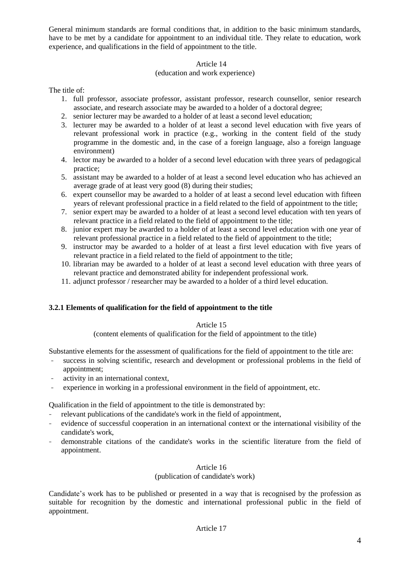General minimum standards are formal conditions that, in addition to the basic minimum standards, have to be met by a candidate for appointment to an individual title. They relate to education, work experience, and qualifications in the field of appointment to the title.

# Article 14

# (education and work experience)

The title of:

- 1. full professor, associate professor, assistant professor, research counsellor, senior research associate, and research associate may be awarded to a holder of a doctoral degree;
- 2. senior lecturer may be awarded to a holder of at least a second level education;
- 3. lecturer may be awarded to a holder of at least a second level education with five years of relevant professional work in practice (e.g., working in the content field of the study programme in the domestic and, in the case of a foreign language, also a foreign language environment)
- 4. lector may be awarded to a holder of a second level education with three years of pedagogical practice;
- 5. assistant may be awarded to a holder of at least a second level education who has achieved an average grade of at least very good (8) during their studies;
- 6. expert counsellor may be awarded to a holder of at least a second level education with fifteen years of relevant professional practice in a field related to the field of appointment to the title;
- 7. senior expert may be awarded to a holder of at least a second level education with ten years of relevant practice in a field related to the field of appointment to the title;
- 8. junior expert may be awarded to a holder of at least a second level education with one year of relevant professional practice in a field related to the field of appointment to the title;
- 9. instructor may be awarded to a holder of at least a first level education with five years of relevant practice in a field related to the field of appointment to the title;
- 10. librarian may be awarded to a holder of at least a second level education with three years of relevant practice and demonstrated ability for independent professional work.
- 11. adjunct professor / researcher may be awarded to a holder of a third level education.

# **3.2.1 Elements of qualification for the field of appointment to the title**

# Article 15

(content elements of qualification for the field of appointment to the title)

Substantive elements for the assessment of qualifications for the field of appointment to the title are:

- success in solving scientific, research and development or professional problems in the field of appointment;
- activity in an international context,
- experience in working in a professional environment in the field of appointment, etc.

Qualification in the field of appointment to the title is demonstrated by:

- relevant publications of the candidate's work in the field of appointment,
- evidence of successful cooperation in an international context or the international visibility of the candidate's work,
- demonstrable citations of the candidate's works in the scientific literature from the field of appointment.

# Article 16

# (publication of candidate's work)

Candidate's work has to be published or presented in a way that is recognised by the profession as suitable for recognition by the domestic and international professional public in the field of appointment.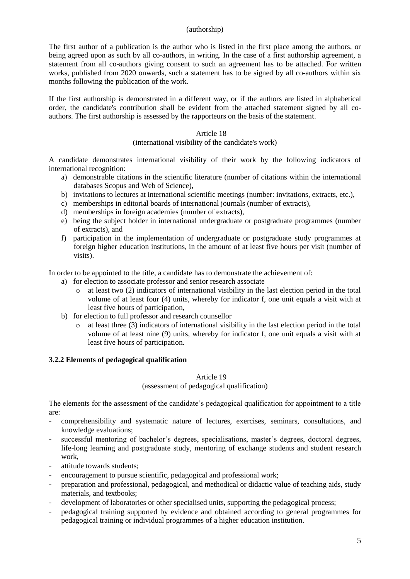### (authorship)

The first author of a publication is the author who is listed in the first place among the authors, or being agreed upon as such by all co-authors, in writing. In the case of a first authorship agreement, a statement from all co-authors giving consent to such an agreement has to be attached. For written works, published from 2020 onwards, such a statement has to be signed by all co-authors within six months following the publication of the work.

If the first authorship is demonstrated in a different way, or if the authors are listed in alphabetical order, the candidate's contribution shall be evident from the attached statement signed by all coauthors. The first authorship is assessed by the rapporteurs on the basis of the statement.

### Article 18

(international visibility of the candidate's work)

A candidate demonstrates international visibility of their work by the following indicators of international recognition:

- a) demonstrable citations in the scientific literature (number of citations within the international databases Scopus and Web of Science),
- b) invitations to lectures at international scientific meetings (number: invitations, extracts, etc.),
- c) memberships in editorial boards of international journals (number of extracts),
- d) memberships in foreign academies (number of extracts),
- e) being the subject holder in international undergraduate or postgraduate programmes (number of extracts), and
- f) participation in the implementation of undergraduate or postgraduate study programmes at foreign higher education institutions, in the amount of at least five hours per visit (number of visits).

In order to be appointed to the title, a candidate has to demonstrate the achievement of:

- a) for election to associate professor and senior research associate
	- $\circ$  at least two (2) indicators of international visibility in the last election period in the total volume of at least four (4) units, whereby for indicator f, one unit equals a visit with at least five hours of participation,
- b) for election to full professor and research counsellor
	- o at least three (3) indicators of international visibility in the last election period in the total volume of at least nine (9) units, whereby for indicator f, one unit equals a visit with at least five hours of participation.

### **3.2.2 Elements of pedagogical qualification**

### Article 19

(assessment of pedagogical qualification)

The elements for the assessment of the candidate's pedagogical qualification for appointment to a title are:

- comprehensibility and systematic nature of lectures, exercises, seminars, consultations, and knowledge evaluations;
- successful mentoring of bachelor's degrees, specialisations, master's degrees, doctoral degrees, life-long learning and postgraduate study, mentoring of exchange students and student research work,
- attitude towards students;
- encouragement to pursue scientific, pedagogical and professional work;
- preparation and professional, pedagogical, and methodical or didactic value of teaching aids, study materials, and textbooks;
- development of laboratories or other specialised units, supporting the pedagogical process;
- pedagogical training supported by evidence and obtained according to general programmes for pedagogical training or individual programmes of a higher education institution.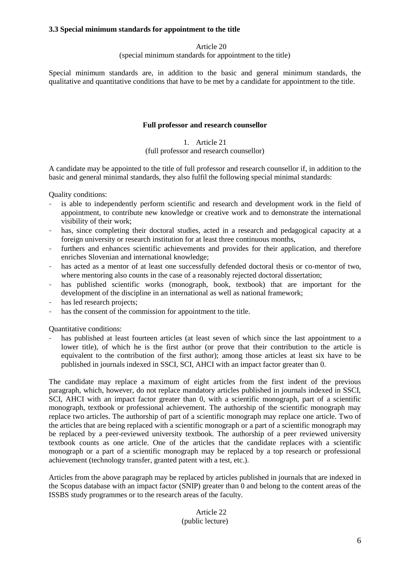## **3.3 Special minimum standards for appointment to the title**

## Article 20

(special minimum standards for appointment to the title)

Special minimum standards are, in addition to the basic and general minimum standards, the qualitative and quantitative conditions that have to be met by a candidate for appointment to the title.

## **Full professor and research counsellor**

# 1. Article 21

### (full professor and research counsellor)

A candidate may be appointed to the title of full professor and research counsellor if, in addition to the basic and general minimal standards, they also fulfil the following special minimal standards:

Quality conditions:

- is able to independently perform scientific and research and development work in the field of appointment, to contribute new knowledge or creative work and to demonstrate the international visibility of their work;
- has, since completing their doctoral studies, acted in a research and pedagogical capacity at a foreign university or research institution for at least three continuous months,
- furthers and enhances scientific achievements and provides for their application, and therefore enriches Slovenian and international knowledge;
- has acted as a mentor of at least one successfully defended doctoral thesis or co-mentor of two, where mentoring also counts in the case of a reasonably rejected doctoral dissertation;
- has published scientific works (monograph, book, textbook) that are important for the development of the discipline in an international as well as national framework;
- has led research projects;
- has the consent of the commission for appointment to the title.

Quantitative conditions:

has published at least fourteen articles (at least seven of which since the last appointment to a lower title), of which he is the first author (or prove that their contribution to the article is equivalent to the contribution of the first author); among those articles at least six have to be published in journals indexed in SSCI, SCI, AHCI with an impact factor greater than 0.

The candidate may replace a maximum of eight articles from the first indent of the previous paragraph, which, however, do not replace mandatory articles published in journals indexed in SSCI, SCI, AHCI with an impact factor greater than 0, with a scientific monograph, part of a scientific monograph, textbook or professional achievement. The authorship of the scientific monograph may replace two articles. The authorship of part of a scientific monograph may replace one article. Two of the articles that are being replaced with a scientific monograph or a part of a scientific monograph may be replaced by a peer-reviewed university textbook. The authorship of a peer reviewed university textbook counts as one article. One of the articles that the candidate replaces with a scientific monograph or a part of a scientific monograph may be replaced by a top research or professional achievement (technology transfer, granted patent with a test, etc.).

Articles from the above paragraph may be replaced by articles published in journals that are indexed in the Scopus database with an impact factor (SNIP) greater than 0 and belong to the content areas of the ISSBS study programmes or to the research areas of the faculty.

### Article 22 (public lecture)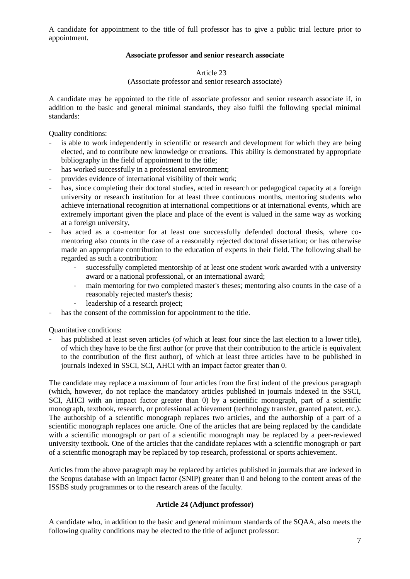A candidate for appointment to the title of full professor has to give a public trial lecture prior to appointment.

## **Associate professor and senior research associate**

## Article 23

## (Associate professor and senior research associate)

A candidate may be appointed to the title of associate professor and senior research associate if, in addition to the basic and general minimal standards, they also fulfil the following special minimal standards:

Quality conditions:

- is able to work independently in scientific or research and development for which they are being elected, and to contribute new knowledge or creations. This ability is demonstrated by appropriate bibliography in the field of appointment to the title;
- has worked successfully in a professional environment;
- provides evidence of international visibility of their work;
- has, since completing their doctoral studies, acted in research or pedagogical capacity at a foreign university or research institution for at least three continuous months, mentoring students who achieve international recognition at international competitions or at international events, which are extremely important given the place and place of the event is valued in the same way as working at a foreign university,
- has acted as a co-mentor for at least one successfully defended doctoral thesis, where comentoring also counts in the case of a reasonably rejected doctoral dissertation; or has otherwise made an appropriate contribution to the education of experts in their field. The following shall be regarded as such a contribution:
	- successfully completed mentorship of at least one student work awarded with a university award or a national professional, or an international award;
	- main mentoring for two completed master's theses; mentoring also counts in the case of a reasonably rejected master's thesis;
	- leadership of a research project;
- has the consent of the commission for appointment to the title.

Quantitative conditions:

has published at least seven articles (of which at least four since the last election to a lower title), of which they have to be the first author (or prove that their contribution to the article is equivalent to the contribution of the first author), of which at least three articles have to be published in journals indexed in SSCI, SCI, AHCI with an impact factor greater than 0.

The candidate may replace a maximum of four articles from the first indent of the previous paragraph (which, however, do not replace the mandatory articles published in journals indexed in the SSCI, SCI, AHCI with an impact factor greater than 0) by a scientific monograph, part of a scientific monograph, textbook, research, or professional achievement (technology transfer, granted patent, etc.). The authorship of a scientific monograph replaces two articles, and the authorship of a part of a scientific monograph replaces one article. One of the articles that are being replaced by the candidate with a scientific monograph or part of a scientific monograph may be replaced by a peer-reviewed university textbook. One of the articles that the candidate replaces with a scientific monograph or part of a scientific monograph may be replaced by top research, professional or sports achievement.

Articles from the above paragraph may be replaced by articles published in journals that are indexed in the Scopus database with an impact factor (SNIP) greater than 0 and belong to the content areas of the ISSBS study programmes or to the research areas of the faculty.

# **Article 24 (Adjunct professor)**

A candidate who, in addition to the basic and general minimum standards of the SQAA, also meets the following quality conditions may be elected to the title of adjunct professor: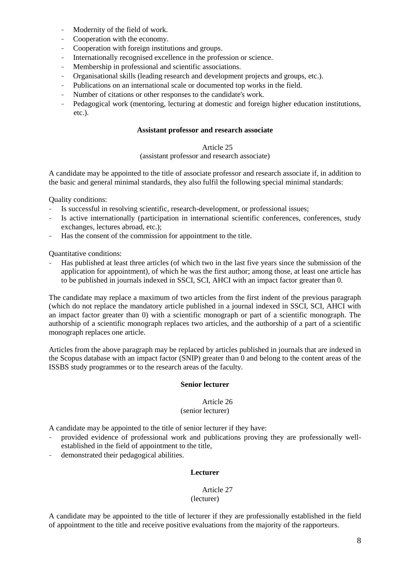- Modernity of the field of work.
- Cooperation with the economy.
- Cooperation with foreign institutions and groups.
- Internationally recognised excellence in the profession or science.
- Membership in professional and scientific associations.
- Organisational skills (leading research and development projects and groups, etc.).
- Publications on an international scale or documented top works in the field.
- Number of citations or other responses to the candidate's work.
- Pedagogical work (mentoring, lecturing at domestic and foreign higher education institutions, etc.).

### **Assistant professor and research associate**

## Article 25

### (assistant professor and research associate)

A candidate may be appointed to the title of associate professor and research associate if, in addition to the basic and general minimal standards, they also fulfil the following special minimal standards:

Quality conditions:

- Is successful in resolving scientific, research-development, or professional issues;
- Is active internationally (participation in international scientific conferences, conferences, study exchanges, lectures abroad, etc.);
- Has the consent of the commission for appointment to the title.

Quantitative conditions:

- Has published at least three articles (of which two in the last five years since the submission of the application for appointment), of which he was the first author; among those, at least one article has to be published in journals indexed in SSCI, SCI, AHCI with an impact factor greater than 0.

The candidate may replace a maximum of two articles from the first indent of the previous paragraph (which do not replace the mandatory article published in a journal indexed in SSCI, SCI, AHCI with an impact factor greater than 0) with a scientific monograph or part of a scientific monograph. The authorship of a scientific monograph replaces two articles, and the authorship of a part of a scientific monograph replaces one article.

Articles from the above paragraph may be replaced by articles published in journals that are indexed in the Scopus database with an impact factor (SNIP) greater than 0 and belong to the content areas of the ISSBS study programmes or to the research areas of the faculty.

### **Senior lecturer**

#### Article 26 (senior lecturer)

A candidate may be appointed to the title of senior lecturer if they have:

- provided evidence of professional work and publications proving they are professionally wellestablished in the field of appointment to the title,
- demonstrated their pedagogical abilities.

### **Lecturer**

### Article 27 (lecturer)

A candidate may be appointed to the title of lecturer if they are professionally established in the field of appointment to the title and receive positive evaluations from the majority of the rapporteurs.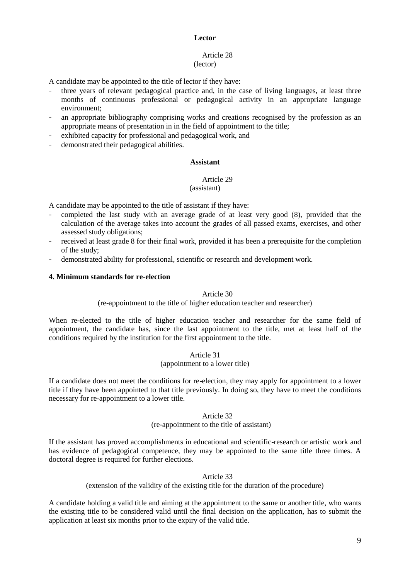### **Lector**

#### Article 28 (lector)

A candidate may be appointed to the title of lector if they have:

- three years of relevant pedagogical practice and, in the case of living languages, at least three months of continuous professional or pedagogical activity in an appropriate language environment;
- an appropriate bibliography comprising works and creations recognised by the profession as an appropriate means of presentation in in the field of appointment to the title;
- exhibited capacity for professional and pedagogical work, and
- demonstrated their pedagogical abilities.

### **Assistant**

#### Article 29 (assistant)

A candidate may be appointed to the title of assistant if they have:

- completed the last study with an average grade of at least very good (8), provided that the calculation of the average takes into account the grades of all passed exams, exercises, and other assessed study obligations;
- received at least grade 8 for their final work, provided it has been a prerequisite for the completion of the study;
- demonstrated ability for professional, scientific or research and development work.

## **4. Minimum standards for re-election**

### Article 30

(re-appointment to the title of higher education teacher and researcher)

When re-elected to the title of higher education teacher and researcher for the same field of appointment, the candidate has, since the last appointment to the title, met at least half of the conditions required by the institution for the first appointment to the title.

> Article 31 (appointment to a lower title)

If a candidate does not meet the conditions for re-election, they may apply for appointment to a lower title if they have been appointed to that title previously. In doing so, they have to meet the conditions necessary for re-appointment to a lower title.

### Article 32 (re-appointment to the title of assistant)

If the assistant has proved accomplishments in educational and scientific-research or artistic work and has evidence of pedagogical competence, they may be appointed to the same title three times. A doctoral degree is required for further elections.

### Article 33

(extension of the validity of the existing title for the duration of the procedure)

A candidate holding a valid title and aiming at the appointment to the same or another title, who wants the existing title to be considered valid until the final decision on the application, has to submit the application at least six months prior to the expiry of the valid title.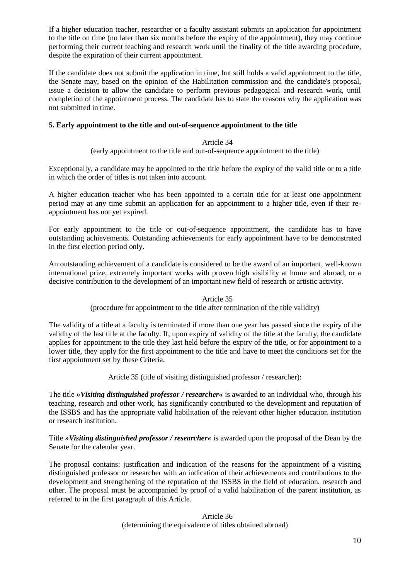If a higher education teacher, researcher or a faculty assistant submits an application for appointment to the title on time (no later than six months before the expiry of the appointment), they may continue performing their current teaching and research work until the finality of the title awarding procedure, despite the expiration of their current appointment.

If the candidate does not submit the application in time, but still holds a valid appointment to the title, the Senate may, based on the opinion of the Habilitation commission and the candidate's proposal, issue a decision to allow the candidate to perform previous pedagogical and research work, until completion of the appointment process. The candidate has to state the reasons why the application was not submitted in time.

## **5. Early appointment to the title and out-of-sequence appointment to the title**

### Article 34

(early appointment to the title and out-of-sequence appointment to the title)

Exceptionally, a candidate may be appointed to the title before the expiry of the valid title or to a title in which the order of titles is not taken into account.

A higher education teacher who has been appointed to a certain title for at least one appointment period may at any time submit an application for an appointment to a higher title, even if their reappointment has not yet expired.

For early appointment to the title or out-of-sequence appointment, the candidate has to have outstanding achievements. Outstanding achievements for early appointment have to be demonstrated in the first election period only.

An outstanding achievement of a candidate is considered to be the award of an important, well-known international prize, extremely important works with proven high visibility at home and abroad, or a decisive contribution to the development of an important new field of research or artistic activity.

### Article 35

(procedure for appointment to the title after termination of the title validity)

The validity of a title at a faculty is terminated if more than one year has passed since the expiry of the validity of the last title at the faculty. If, upon expiry of validity of the title at the faculty, the candidate applies for appointment to the title they last held before the expiry of the title, or for appointment to a lower title, they apply for the first appointment to the title and have to meet the conditions set for the first appointment set by these Criteria.

Article 35 (title of visiting distinguished professor / researcher):

The title *»Visiting distinguished professor / researcher«* is awarded to an individual who, through his teaching, research and other work, has significantly contributed to the development and reputation of the ISSBS and has the appropriate valid habilitation of the relevant other higher education institution or research institution.

Title *»Visiting distinguished professor / researcher«* is awarded upon the proposal of the Dean by the Senate for the calendar year.

The proposal contains: justification and indication of the reasons for the appointment of a visiting distinguished professor or researcher with an indication of their achievements and contributions to the development and strengthening of the reputation of the ISSBS in the field of education, research and other. The proposal must be accompanied by proof of a valid habilitation of the parent institution, as referred to in the first paragraph of this Article.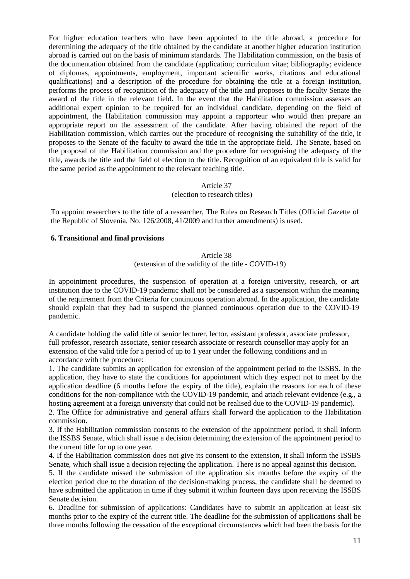For higher education teachers who have been appointed to the title abroad, a procedure for determining the adequacy of the title obtained by the candidate at another higher education institution abroad is carried out on the basis of minimum standards. The Habilitation commission, on the basis of the documentation obtained from the candidate (application; curriculum vitae; bibliography; evidence of diplomas, appointments, employment, important scientific works, citations and educational qualifications) and a description of the procedure for obtaining the title at a foreign institution, performs the process of recognition of the adequacy of the title and proposes to the faculty Senate the award of the title in the relevant field. In the event that the Habilitation commission assesses an additional expert opinion to be required for an individual candidate, depending on the field of appointment, the Habilitation commission may appoint a rapporteur who would then prepare an appropriate report on the assessment of the candidate. After having obtained the report of the Habilitation commission, which carries out the procedure of recognising the suitability of the title, it proposes to the Senate of the faculty to award the title in the appropriate field. The Senate, based on the proposal of the Habilitation commission and the procedure for recognising the adequacy of the title, awards the title and the field of election to the title. Recognition of an equivalent title is valid for the same period as the appointment to the relevant teaching title.

## Article 37 (election to research titles)

To appoint researchers to the title of a researcher, The Rules on Research Titles (Official Gazette of the Republic of Slovenia, No. 126/2008, 41/2009 and further amendments) is used.

### **6. Transitional and final provisions**

# Article 38 (extension of the validity of the title - COVID-19)

In appointment procedures, the suspension of operation at a foreign university, research, or art institution due to the COVID-19 pandemic shall not be considered as a suspension within the meaning of the requirement from the Criteria for continuous operation abroad. In the application, the candidate should explain that they had to suspend the planned continuous operation due to the COVID-19 pandemic.

A candidate holding the valid title of senior lecturer, lector, assistant professor, associate professor, full professor, research associate, senior research associate or research counsellor may apply for an extension of the valid title for a period of up to 1 year under the following conditions and in accordance with the procedure:

1. The candidate submits an application for extension of the appointment period to the ISSBS. In the application, they have to state the conditions for appointment which they expect not to meet by the application deadline (6 months before the expiry of the title), explain the reasons for each of these conditions for the non-compliance with the COVID-19 pandemic, and attach relevant evidence (e.g., a hosting agreement at a foreign university that could not be realised due to the COVID-19 pandemic).

2. The Office for administrative and general affairs shall forward the application to the Habilitation commission.

3. If the Habilitation commission consents to the extension of the appointment period, it shall inform the ISSBS Senate, which shall issue a decision determining the extension of the appointment period to the current title for up to one year.

4. If the Habilitation commission does not give its consent to the extension, it shall inform the ISSBS Senate, which shall issue a decision rejecting the application. There is no appeal against this decision.

5. If the candidate missed the submission of the application six months before the expiry of the election period due to the duration of the decision-making process, the candidate shall be deemed to have submitted the application in time if they submit it within fourteen days upon receiving the ISSBS Senate decision.

6. Deadline for submission of applications: Candidates have to submit an application at least six months prior to the expiry of the current title. The deadline for the submission of applications shall be three months following the cessation of the exceptional circumstances which had been the basis for the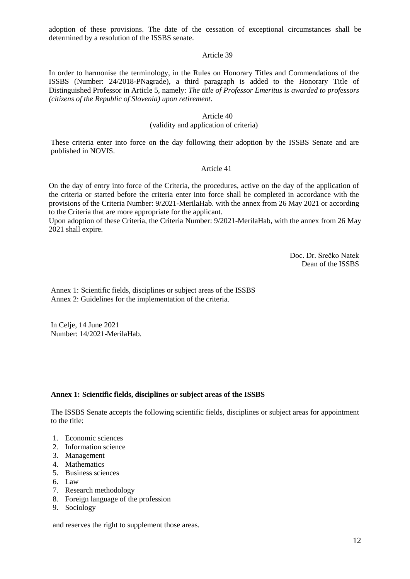adoption of these provisions. The date of the cessation of exceptional circumstances shall be determined by a resolution of the ISSBS senate.

### Article 39

In order to harmonise the terminology, in the Rules on Honorary Titles and Commendations of the ISSBS (Number: 24/2018-PNagrade), a third paragraph is added to the Honorary Title of Distinguished Professor in Article 5, namely: *The title of Professor Emeritus is awarded to professors (citizens of the Republic of Slovenia) upon retirement.*

### Article 40 (validity and application of criteria)

These criteria enter into force on the day following their adoption by the ISSBS Senate and are published in NOVIS.

### Article 41

On the day of entry into force of the Criteria, the procedures, active on the day of the application of the criteria or started before the criteria enter into force shall be completed in accordance with the provisions of the Criteria Number: 9/2021-MerilaHab. with the annex from 26 May 2021 or according to the Criteria that are more appropriate for the applicant.

Upon adoption of these Criteria, the Criteria Number: 9/2021-MerilaHab, with the annex from 26 May 2021 shall expire.

> Doc. Dr. Srečko Natek Dean of the ISSBS

Annex 1: Scientific fields, disciplines or subject areas of the ISSBS Annex 2: Guidelines for the implementation of the criteria.

In Celje, 14 June 2021 Number: 14/2021-MerilaHab.

### **Annex 1: Scientific fields, disciplines or subject areas of the ISSBS**

The ISSBS Senate accepts the following scientific fields, disciplines or subject areas for appointment to the title:

- 1. Economic sciences
- 2. Information science
- 3. Management
- 4. Mathematics
- 5. Business sciences
- 6. Law
- 7. Research methodology
- 8. Foreign language of the profession
- 9. Sociology

and reserves the right to supplement those areas.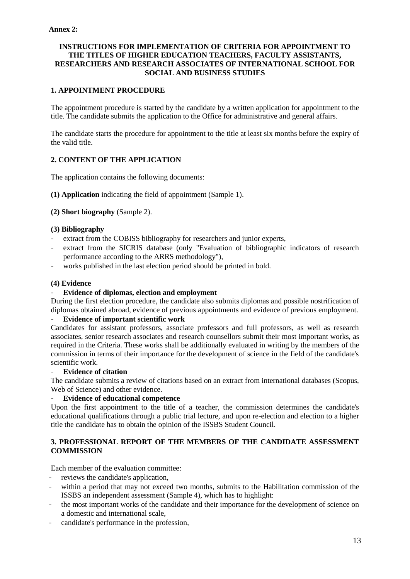## **INSTRUCTIONS FOR IMPLEMENTATION OF CRITERIA FOR APPOINTMENT TO THE TITLES OF HIGHER EDUCATION TEACHERS, FACULTY ASSISTANTS, RESEARCHERS AND RESEARCH ASSOCIATES OF INTERNATIONAL SCHOOL FOR SOCIAL AND BUSINESS STUDIES**

# **1. APPOINTMENT PROCEDURE**

The appointment procedure is started by the candidate by a written application for appointment to the title. The candidate submits the application to the Office for administrative and general affairs.

The candidate starts the procedure for appointment to the title at least six months before the expiry of the valid title.

## **2. CONTENT OF THE APPLICATION**

The application contains the following documents:

**(1) Application** indicating the field of appointment (Sample 1).

## **(2) Short biography** (Sample 2).

### **(3) Bibliography**

- extract from the COBISS bibliography for researchers and junior experts,
- extract from the SICRIS database (only "Evaluation of bibliographic indicators of research performance according to the ARRS methodology"),
- works published in the last election period should be printed in bold.

### **(4) Evidence**

## - **Evidence of diplomas, election and employment**

During the first election procedure, the candidate also submits diplomas and possible nostrification of diplomas obtained abroad, evidence of previous appointments and evidence of previous employment.

### - **Evidence of important scientific work**

Candidates for assistant professors, associate professors and full professors, as well as research associates, senior research associates and research counsellors submit their most important works, as required in the Criteria. These works shall be additionally evaluated in writing by the members of the commission in terms of their importance for the development of science in the field of the candidate's scientific work.

### - **Evidence of citation**

The candidate submits a review of citations based on an extract from international databases (Scopus, Web of Science) and other evidence.

### - **Evidence of educational competence**

Upon the first appointment to the title of a teacher, the commission determines the candidate's educational qualifications through a public trial lecture, and upon re-election and election to a higher title the candidate has to obtain the opinion of the ISSBS Student Council.

## **3. PROFESSIONAL REPORT OF THE MEMBERS OF THE CANDIDATE ASSESSMENT COMMISSION**

Each member of the evaluation committee:

- reviews the candidate's application,
- within a period that may not exceed two months, submits to the Habilitation commission of the ISSBS an independent assessment (Sample 4), which has to highlight:
- the most important works of the candidate and their importance for the development of science on a domestic and international scale,
- candidate's performance in the profession,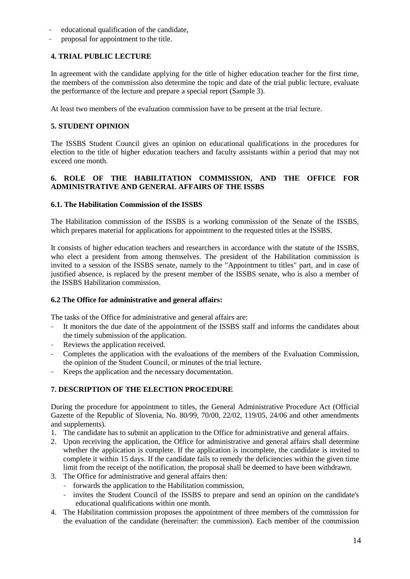- educational qualification of the candidate,
- proposal for appointment to the title.

# **4. TRIAL PUBLIC LECTURE**

In agreement with the candidate applying for the title of higher education teacher for the first time, the members of the commission also determine the topic and date of the trial public lecture, evaluate the performance of the lecture and prepare a special report (Sample 3).

At least two members of the evaluation commission have to be present at the trial lecture.

# **5. STUDENT OPINION**

The ISSBS Student Council gives an opinion on educational qualifications in the procedures for election to the title of higher education teachers and faculty assistants within a period that may not exceed one month.

# **6. ROLE OF THE HABILITATION COMMISSION, AND THE OFFICE FOR ADMINISTRATIVE AND GENERAL AFFAIRS OF THE ISSBS**

## **6.1. The Habilitation Commission of the ISSBS**

The Habilitation commission of the ISSBS is a working commission of the Senate of the ISSBS, which prepares material for applications for appointment to the requested titles at the ISSBS.

It consists of higher education teachers and researchers in accordance with the statute of the ISSBS, who elect a president from among themselves. The president of the Habilitation commission is invited to a session of the ISSBS senate, namely to the "Appointment to titles" part, and in case of justified absence, is replaced by the present member of the ISSBS senate, who is also a member of the ISSBS Habilitation commission.

### **6.2 The Office for administrative and general affairs:**

The tasks of the Office for administrative and general affairs are:

- It monitors the due date of the appointment of the ISSBS staff and informs the candidates about the timely submission of the application.
- Reviews the application received.
- Completes the application with the evaluations of the members of the Evaluation Commission, the opinion of the Student Council, or minutes of the trial lecture.
- Keeps the application and the necessary documentation.

# **7. DESCRIPTION OF THE ELECTION PROCEDURE**

During the procedure for appointment to titles, the General Administrative Procedure Act (Official Gazette of the Republic of Slovenia, No. 80/99, 70/00, 22/02, 119/05, 24/06 and other amendments and supplements).

- 1. The candidate has to submit an application to the Office for administrative and general affairs.
- 2. Upon receiving the application, the Office for administrative and general affairs shall determine whether the application is complete. If the application is incomplete, the candidate is invited to complete it within 15 days. If the candidate fails to remedy the deficiencies within the given time limit from the receipt of the notification, the proposal shall be deemed to have been withdrawn.
- 3. The Office for administrative and general affairs then:
	- forwards the application to the Habilitation commission,
	- invites the Student Council of the ISSBS to prepare and send an opinion on the candidate's educational qualifications within one month.
- 4. The Habilitation commission proposes the appointment of three members of the commission for the evaluation of the candidate (hereinafter: the commission). Each member of the commission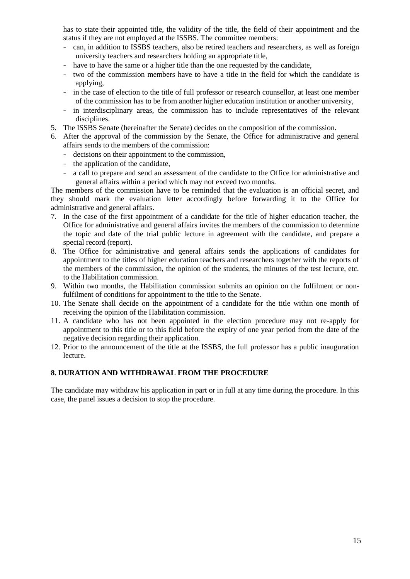has to state their appointed title, the validity of the title, the field of their appointment and the status if they are not employed at the ISSBS. The committee members:

- can, in addition to ISSBS teachers, also be retired teachers and researchers, as well as foreign university teachers and researchers holding an appropriate title,
- have to have the same or a higher title than the one requested by the candidate,
- two of the commission members have to have a title in the field for which the candidate is applying,
- in the case of election to the title of full professor or research counsellor, at least one member of the commission has to be from another higher education institution or another university,
- in interdisciplinary areas, the commission has to include representatives of the relevant disciplines.
- 5. The ISSBS Senate (hereinafter the Senate) decides on the composition of the commission.
- 6. After the approval of the commission by the Senate, the Office for administrative and general affairs sends to the members of the commission:
	- decisions on their appointment to the commission,
	- the application of the candidate,
	- a call to prepare and send an assessment of the candidate to the Office for administrative and general affairs within a period which may not exceed two months.

The members of the commission have to be reminded that the evaluation is an official secret, and they should mark the evaluation letter accordingly before forwarding it to the Office for administrative and general affairs.

- 7. In the case of the first appointment of a candidate for the title of higher education teacher, the Office for administrative and general affairs invites the members of the commission to determine the topic and date of the trial public lecture in agreement with the candidate, and prepare a special record (report).
- 8. The Office for administrative and general affairs sends the applications of candidates for appointment to the titles of higher education teachers and researchers together with the reports of the members of the commission, the opinion of the students, the minutes of the test lecture, etc. to the Habilitation commission.
- 9. Within two months, the Habilitation commission submits an opinion on the fulfilment or nonfulfilment of conditions for appointment to the title to the Senate.
- 10. The Senate shall decide on the appointment of a candidate for the title within one month of receiving the opinion of the Habilitation commission.
- 11. A candidate who has not been appointed in the election procedure may not re-apply for appointment to this title or to this field before the expiry of one year period from the date of the negative decision regarding their application.
- 12. Prior to the announcement of the title at the ISSBS, the full professor has a public inauguration lecture.

### **8. DURATION AND WITHDRAWAL FROM THE PROCEDURE**

The candidate may withdraw his application in part or in full at any time during the procedure. In this case, the panel issues a decision to stop the procedure.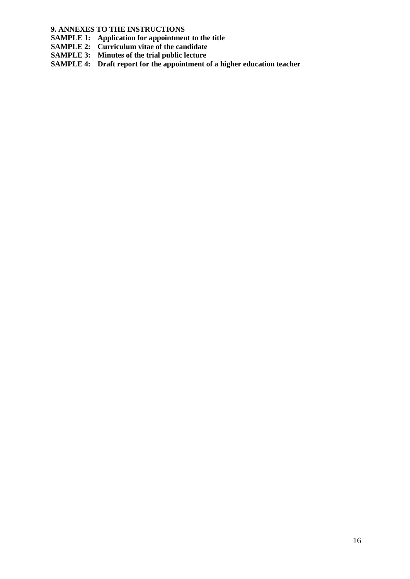**9. ANNEXES TO THE INSTRUCTIONS**

**SAMPLE 1: Application for appointment to the title** 

- **SAMPLE 2: Curriculum vitae of the candidate**
- **SAMPLE 3: Minutes of the trial public lecture**

**SAMPLE 4:** Draft report for the appointment of a higher education teacher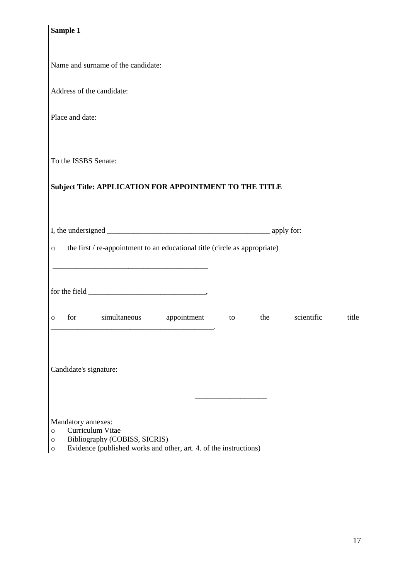|                                                         | Sample 1                                                                                                                                                                                                                                                                                                                                                                                                |  |     |            |       |
|---------------------------------------------------------|---------------------------------------------------------------------------------------------------------------------------------------------------------------------------------------------------------------------------------------------------------------------------------------------------------------------------------------------------------------------------------------------------------|--|-----|------------|-------|
|                                                         |                                                                                                                                                                                                                                                                                                                                                                                                         |  |     |            |       |
|                                                         |                                                                                                                                                                                                                                                                                                                                                                                                         |  |     |            |       |
|                                                         | Name and surname of the candidate:                                                                                                                                                                                                                                                                                                                                                                      |  |     |            |       |
|                                                         |                                                                                                                                                                                                                                                                                                                                                                                                         |  |     |            |       |
|                                                         | Address of the candidate:                                                                                                                                                                                                                                                                                                                                                                               |  |     |            |       |
|                                                         | Place and date:                                                                                                                                                                                                                                                                                                                                                                                         |  |     |            |       |
|                                                         |                                                                                                                                                                                                                                                                                                                                                                                                         |  |     |            |       |
|                                                         |                                                                                                                                                                                                                                                                                                                                                                                                         |  |     |            |       |
|                                                         | To the ISSBS Senate:                                                                                                                                                                                                                                                                                                                                                                                    |  |     |            |       |
|                                                         |                                                                                                                                                                                                                                                                                                                                                                                                         |  |     |            |       |
| Subject Title: APPLICATION FOR APPOINTMENT TO THE TITLE |                                                                                                                                                                                                                                                                                                                                                                                                         |  |     |            |       |
|                                                         |                                                                                                                                                                                                                                                                                                                                                                                                         |  |     |            |       |
|                                                         |                                                                                                                                                                                                                                                                                                                                                                                                         |  |     |            |       |
|                                                         |                                                                                                                                                                                                                                                                                                                                                                                                         |  |     |            |       |
|                                                         |                                                                                                                                                                                                                                                                                                                                                                                                         |  |     |            |       |
| $\circ$                                                 | the first / re-appointment to an educational title (circle as appropriate)                                                                                                                                                                                                                                                                                                                              |  |     |            |       |
|                                                         |                                                                                                                                                                                                                                                                                                                                                                                                         |  |     |            |       |
|                                                         |                                                                                                                                                                                                                                                                                                                                                                                                         |  |     |            |       |
|                                                         | for the field $\frac{1}{\sqrt{1-\frac{1}{2}}\sqrt{1-\frac{1}{2}}\sqrt{1-\frac{1}{2}}\sqrt{1-\frac{1}{2}}\sqrt{1-\frac{1}{2}}\sqrt{1-\frac{1}{2}}\sqrt{1-\frac{1}{2}}\sqrt{1-\frac{1}{2}}\sqrt{1-\frac{1}{2}}\sqrt{1-\frac{1}{2}}\sqrt{1-\frac{1}{2}}\sqrt{1-\frac{1}{2}}\sqrt{1-\frac{1}{2}}\sqrt{1-\frac{1}{2}}\sqrt{1-\frac{1}{2}}\sqrt{1-\frac{1}{2}}\sqrt{1-\frac{1}{2}}\sqrt{1-\frac{1}{2}}\sqrt{$ |  |     |            |       |
| $\circ$                                                 | simultaneous appointment to<br>for                                                                                                                                                                                                                                                                                                                                                                      |  | the | scientific | title |
|                                                         |                                                                                                                                                                                                                                                                                                                                                                                                         |  |     |            |       |
|                                                         |                                                                                                                                                                                                                                                                                                                                                                                                         |  |     |            |       |
|                                                         |                                                                                                                                                                                                                                                                                                                                                                                                         |  |     |            |       |
|                                                         | Candidate's signature:                                                                                                                                                                                                                                                                                                                                                                                  |  |     |            |       |
|                                                         |                                                                                                                                                                                                                                                                                                                                                                                                         |  |     |            |       |
|                                                         |                                                                                                                                                                                                                                                                                                                                                                                                         |  |     |            |       |
|                                                         |                                                                                                                                                                                                                                                                                                                                                                                                         |  |     |            |       |
| $\circ$                                                 | Mandatory annexes:<br>Curriculum Vitae                                                                                                                                                                                                                                                                                                                                                                  |  |     |            |       |
| $\circ$                                                 | Bibliography (COBISS, SICRIS)                                                                                                                                                                                                                                                                                                                                                                           |  |     |            |       |
| $\circ$                                                 | Evidence (published works and other, art. 4. of the instructions)                                                                                                                                                                                                                                                                                                                                       |  |     |            |       |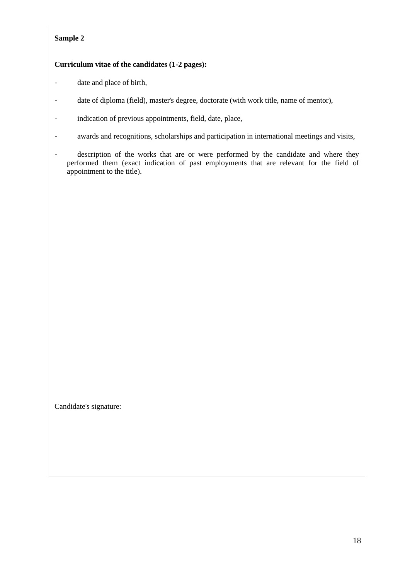# **Sample 2**

# **Curriculum vitae of the candidates (1-2 pages):**

- date and place of birth,
- date of diploma (field), master's degree, doctorate (with work title, name of mentor),
- indication of previous appointments, field, date, place,
- awards and recognitions, scholarships and participation in international meetings and visits,
- description of the works that are or were performed by the candidate and where they performed them (exact indication of past employments that are relevant for the field of appointment to the title).

Candidate's signature: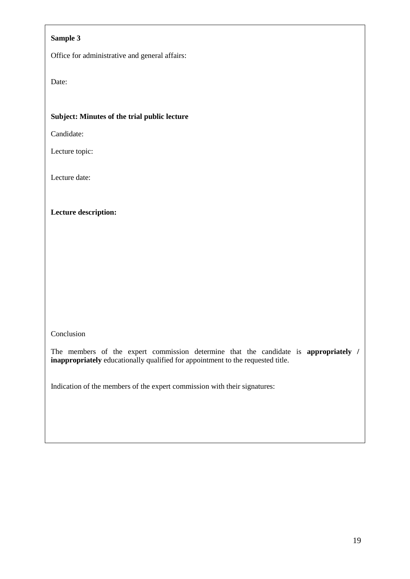# **Sample 3**

Office for administrative and general affairs:

Date:

# **Subject: Minutes of the trial public lecture**

Candidate:

Lecture topic:

Lecture date:

**Lecture description:**

Conclusion

The members of the expert commission determine that the candidate is **appropriately / inappropriately** educationally qualified for appointment to the requested title.

Indication of the members of the expert commission with their signatures: